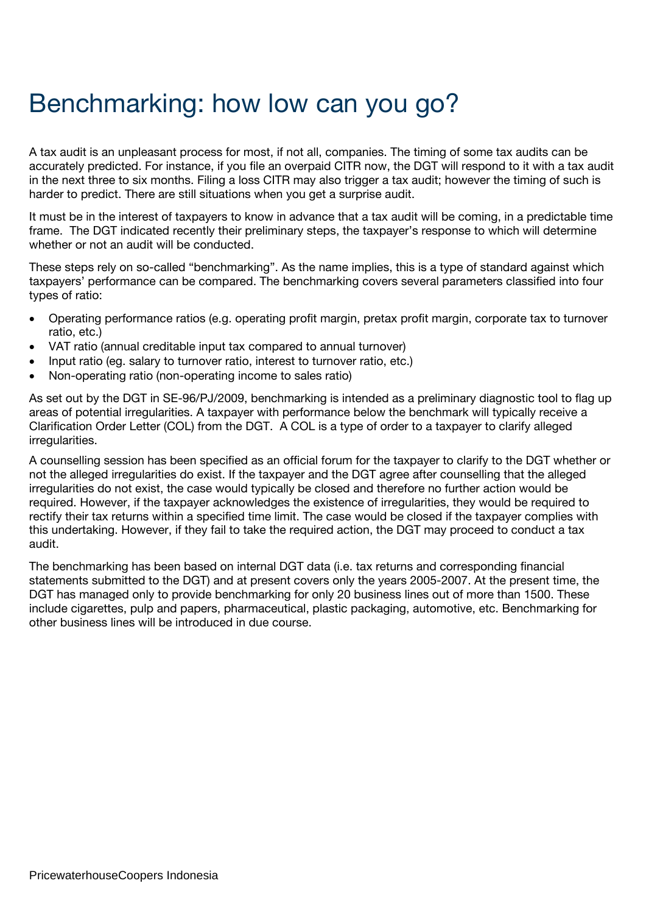## Benchmarking: how low can you go?

A tax audit is an unpleasant process for most, if not all, companies. The timing of some tax audits can be accurately predicted. For instance, if you file an overpaid CITR now, the DGT will respond to it with a tax audit in the next three to six months. Filing a loss CITR may also trigger a tax audit; however the timing of such is harder to predict. There are still situations when you get a surprise audit.

It must be in the interest of taxpayers to know in advance that a tax audit will be coming, in a predictable time frame. The DGT indicated recently their preliminary steps, the taxpayer's response to which will determine whether or not an audit will be conducted.

These steps rely on so-called "benchmarking". As the name implies, this is a type of standard against which taxpayers' performance can be compared. The benchmarking covers several parameters classified into four types of ratio:

- Operating performance ratios (e.g. operating profit margin, pretax profit margin, corporate tax to turnover ratio, etc.)
- VAT ratio (annual creditable input tax compared to annual turnover)
- Input ratio (eg. salary to turnover ratio, interest to turnover ratio, etc.)
- Non-operating ratio (non-operating income to sales ratio)

As set out by the DGT in SE-96/PJ/2009, benchmarking is intended as a preliminary diagnostic tool to flag up areas of potential irregularities. A taxpayer with performance below the benchmark will typically receive a Clarification Order Letter (COL) from the DGT. A COL is a type of order to a taxpayer to clarify alleged irregularities.

A counselling session has been specified as an official forum for the taxpayer to clarify to the DGT whether or not the alleged irregularities do exist. If the taxpayer and the DGT agree after counselling that the alleged irregularities do not exist, the case would typically be closed and therefore no further action would be required. However, if the taxpayer acknowledges the existence of irregularities, they would be required to rectify their tax returns within a specified time limit. The case would be closed if the taxpayer complies with this undertaking. However, if they fail to take the required action, the DGT may proceed to conduct a tax audit.

The benchmarking has been based on internal DGT data (i.e. tax returns and corresponding financial statements submitted to the DGT) and at present covers only the years 2005-2007. At the present time, the DGT has managed only to provide benchmarking for only 20 business lines out of more than 1500. These include cigarettes, pulp and papers, pharmaceutical, plastic packaging, automotive, etc. Benchmarking for other business lines will be introduced in due course.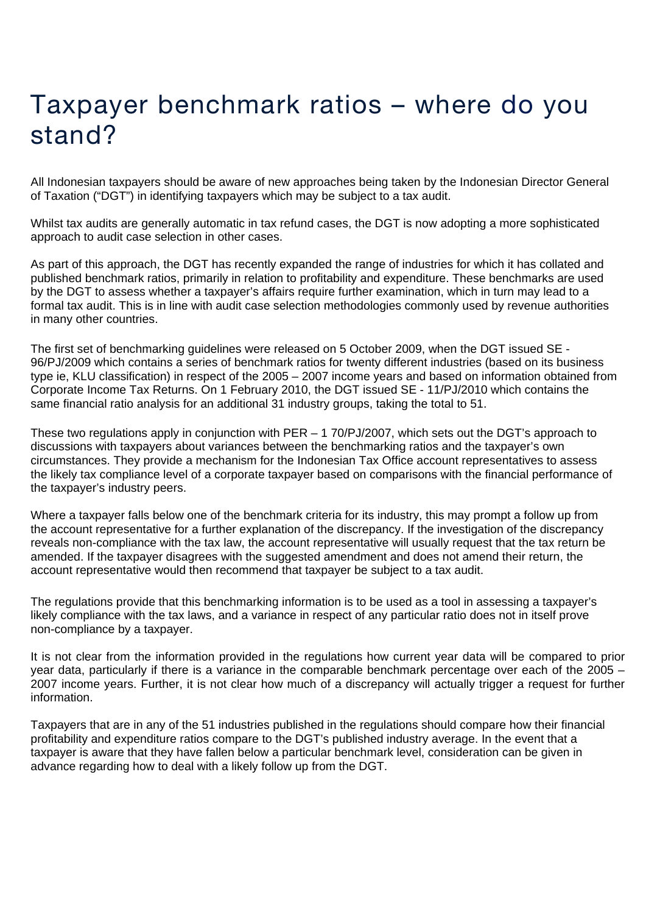## Taxpayer benchmark ratios – where do you stand?

All Indonesian taxpayers should be aware of new approaches being taken by the Indonesian Director General of Taxation ("DGT") in identifying taxpayers which may be subject to a tax audit.

Whilst tax audits are generally automatic in tax refund cases, the DGT is now adopting a more sophisticated approach to audit case selection in other cases.

As part of this approach, the DGT has recently expanded the range of industries for which it has collated and published benchmark ratios, primarily in relation to profitability and expenditure. These benchmarks are used by the DGT to assess whether a taxpayer's affairs require further examination, which in turn may lead to a formal tax audit. This is in line with audit case selection methodologies commonly used by revenue authorities in many other countries.

The first set of benchmarking guidelines were released on 5 October 2009, when the DGT issued SE - 96/PJ/2009 which contains a series of benchmark ratios for twenty different industries (based on its business type ie, KLU classification) in respect of the 2005 – 2007 income years and based on information obtained from Corporate Income Tax Returns. On 1 February 2010, the DGT issued SE - 11/PJ/2010 which contains the same financial ratio analysis for an additional 31 industry groups, taking the total to 51.

These two regulations apply in conjunction with PER – 1 70/PJ/2007, which sets out the DGT's approach to discussions with taxpayers about variances between the benchmarking ratios and the taxpayer's own circumstances. They provide a mechanism for the Indonesian Tax Office account representatives to assess the likely tax compliance level of a corporate taxpayer based on comparisons with the financial performance of the taxpayer's industry peers.

Where a taxpayer falls below one of the benchmark criteria for its industry, this may prompt a follow up from the account representative for a further explanation of the discrepancy. If the investigation of the discrepancy reveals non-compliance with the tax law, the account representative will usually request that the tax return be amended. If the taxpayer disagrees with the suggested amendment and does not amend their return, the account representative would then recommend that taxpayer be subject to a tax audit.

The regulations provide that this benchmarking information is to be used as a tool in assessing a taxpayer's likely compliance with the tax laws, and a variance in respect of any particular ratio does not in itself prove non-compliance by a taxpayer.

It is not clear from the information provided in the regulations how current year data will be compared to prior year data, particularly if there is a variance in the comparable benchmark percentage over each of the 2005 – 2007 income years. Further, it is not clear how much of a discrepancy will actually trigger a request for further information.

Taxpayers that are in any of the 51 industries published in the regulations should compare how their financial profitability and expenditure ratios compare to the DGT's published industry average. In the event that a taxpayer is aware that they have fallen below a particular benchmark level, consideration can be given in advance regarding how to deal with a likely follow up from the DGT.